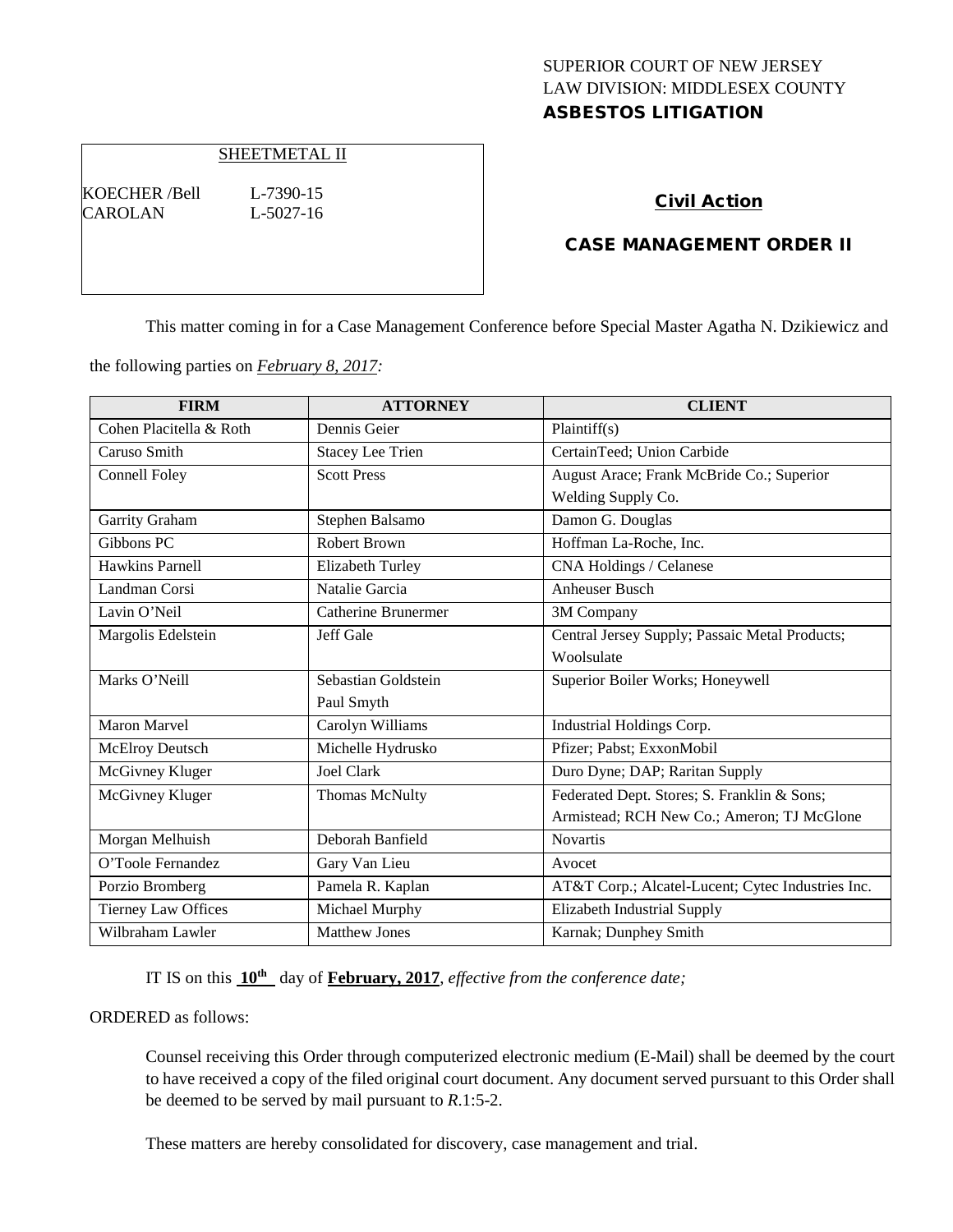## SUPERIOR COURT OF NEW JERSEY LAW DIVISION: MIDDLESEX COUNTY ASBESTOS LITIGATION

#### SHEETMETAL II

KOECHER /Bell L-7390-15 CAROLAN L-5027-16

### Civil Action

### CASE MANAGEMENT ORDER II

This matter coming in for a Case Management Conference before Special Master Agatha N. Dzikiewicz and

the following parties on *February 8, 2017:*

| <b>FIRM</b>                | <b>ATTORNEY</b>         | <b>CLIENT</b>                                     |
|----------------------------|-------------------------|---------------------------------------------------|
| Cohen Placitella & Roth    | Dennis Geier            | Plaintiff(s)                                      |
| Caruso Smith               | <b>Stacey Lee Trien</b> | CertainTeed; Union Carbide                        |
| Connell Foley              | <b>Scott Press</b>      | August Arace; Frank McBride Co.; Superior         |
|                            |                         | Welding Supply Co.                                |
| Garrity Graham             | Stephen Balsamo         | Damon G. Douglas                                  |
| Gibbons PC                 | <b>Robert Brown</b>     | Hoffman La-Roche, Inc.                            |
| Hawkins Parnell            | Elizabeth Turley        | CNA Holdings / Celanese                           |
| Landman Corsi              | Natalie Garcia          | <b>Anheuser Busch</b>                             |
| Lavin O'Neil               | Catherine Brunermer     | 3M Company                                        |
| Margolis Edelstein         | Jeff Gale               | Central Jersey Supply; Passaic Metal Products;    |
|                            |                         | Woolsulate                                        |
| Marks O'Neill              | Sebastian Goldstein     | Superior Boiler Works; Honeywell                  |
|                            | Paul Smyth              |                                                   |
| <b>Maron Marvel</b>        | Carolyn Williams        | Industrial Holdings Corp.                         |
| McElroy Deutsch            | Michelle Hydrusko       | Pfizer; Pabst; ExxonMobil                         |
| McGivney Kluger            | <b>Joel Clark</b>       | Duro Dyne; DAP; Raritan Supply                    |
| McGivney Kluger            | <b>Thomas McNulty</b>   | Federated Dept. Stores; S. Franklin & Sons;       |
|                            |                         | Armistead; RCH New Co.; Ameron; TJ McGlone        |
| Morgan Melhuish            | Deborah Banfield        | <b>Novartis</b>                                   |
| O'Toole Fernandez          | Gary Van Lieu           | Avocet                                            |
| Porzio Bromberg            | Pamela R. Kaplan        | AT&T Corp.; Alcatel-Lucent; Cytec Industries Inc. |
| <b>Tierney Law Offices</b> | Michael Murphy          | Elizabeth Industrial Supply                       |
| Wilbraham Lawler           | <b>Matthew Jones</b>    | Karnak; Dunphey Smith                             |

IT IS on this **10th** day of **February, 2017**, *effective from the conference date;*

ORDERED as follows:

Counsel receiving this Order through computerized electronic medium (E-Mail) shall be deemed by the court to have received a copy of the filed original court document. Any document served pursuant to this Order shall be deemed to be served by mail pursuant to *R*.1:5-2.

These matters are hereby consolidated for discovery, case management and trial.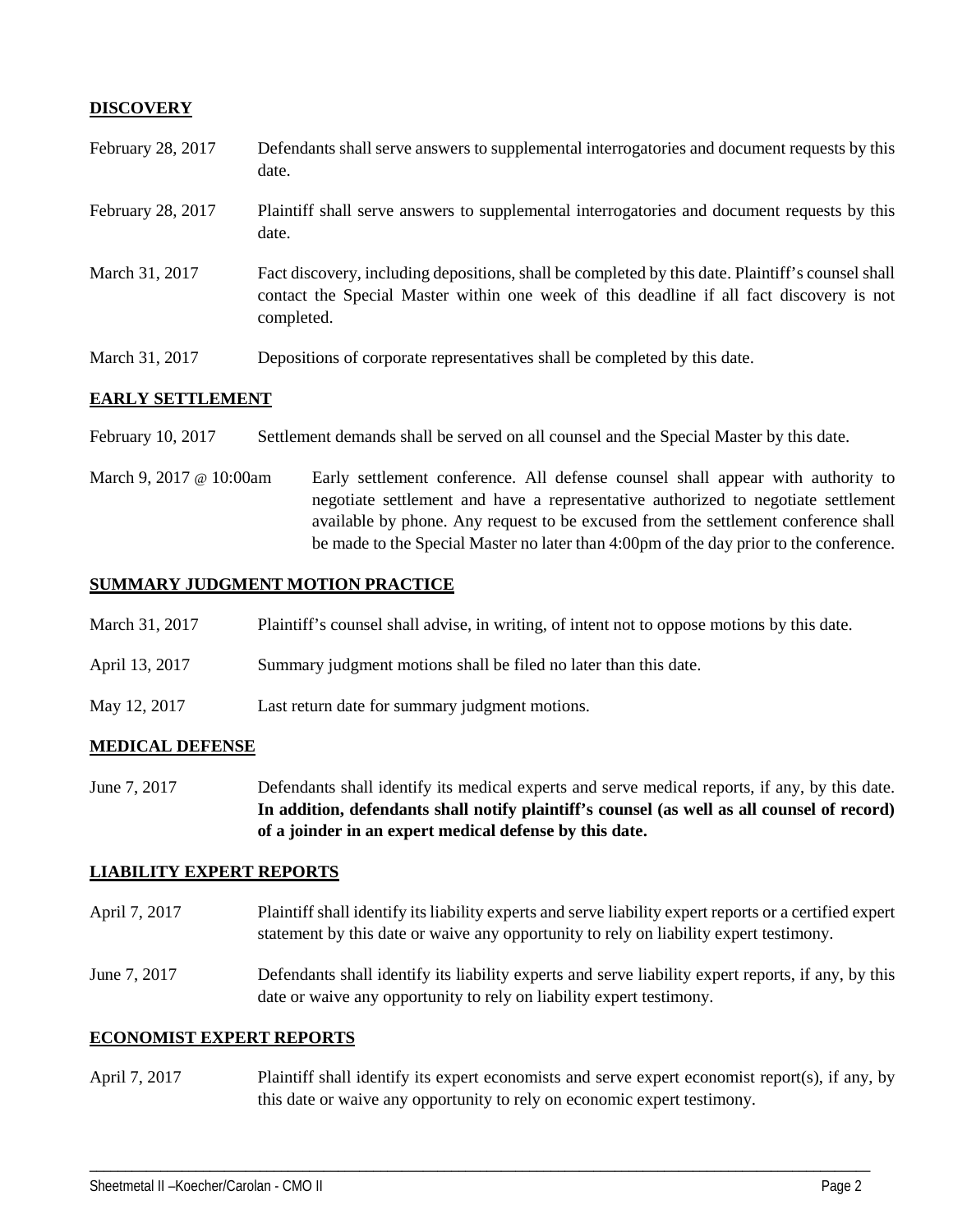# **DISCOVERY**

| February 28, 2017 | Defendants shall serve answers to supplemental interrogatories and document requests by this<br>date.                                                                                                       |
|-------------------|-------------------------------------------------------------------------------------------------------------------------------------------------------------------------------------------------------------|
| February 28, 2017 | Plaintiff shall serve answers to supplemental interrogatories and document requests by this<br>date.                                                                                                        |
| March 31, 2017    | Fact discovery, including depositions, shall be completed by this date. Plaintiff's counsel shall<br>contact the Special Master within one week of this deadline if all fact discovery is not<br>completed. |
| March 31, 2017    | Depositions of corporate representatives shall be completed by this date.                                                                                                                                   |

## **EARLY SETTLEMENT**

February 10, 2017 Settlement demands shall be served on all counsel and the Special Master by this date.

March 9, 2017 @ 10:00am Early settlement conference. All defense counsel shall appear with authority to negotiate settlement and have a representative authorized to negotiate settlement available by phone. Any request to be excused from the settlement conference shall be made to the Special Master no later than 4:00pm of the day prior to the conference.

### **SUMMARY JUDGMENT MOTION PRACTICE**

| March 31, 2017 | Plaintiff's counsel shall advise, in writing, of intent not to oppose motions by this date. |  |  |
|----------------|---------------------------------------------------------------------------------------------|--|--|
|                |                                                                                             |  |  |

- April 13, 2017 Summary judgment motions shall be filed no later than this date.
- May 12, 2017 Last return date for summary judgment motions.

#### **MEDICAL DEFENSE**

June 7, 2017 Defendants shall identify its medical experts and serve medical reports, if any, by this date. **In addition, defendants shall notify plaintiff's counsel (as well as all counsel of record) of a joinder in an expert medical defense by this date.**

## **LIABILITY EXPERT REPORTS**

- April 7, 2017 Plaintiff shall identify its liability experts and serve liability expert reports or a certified expert statement by this date or waive any opportunity to rely on liability expert testimony.
- June 7, 2017 Defendants shall identify its liability experts and serve liability expert reports, if any, by this date or waive any opportunity to rely on liability expert testimony.

#### **ECONOMIST EXPERT REPORTS**

April 7, 2017 Plaintiff shall identify its expert economists and serve expert economist report(s), if any, by this date or waive any opportunity to rely on economic expert testimony.

\_\_\_\_\_\_\_\_\_\_\_\_\_\_\_\_\_\_\_\_\_\_\_\_\_\_\_\_\_\_\_\_\_\_\_\_\_\_\_\_\_\_\_\_\_\_\_\_\_\_\_\_\_\_\_\_\_\_\_\_\_\_\_\_\_\_\_\_\_\_\_\_\_\_\_\_\_\_\_\_\_\_\_\_\_\_\_\_\_\_\_\_\_\_\_\_\_\_\_\_\_\_\_\_\_\_\_\_\_\_